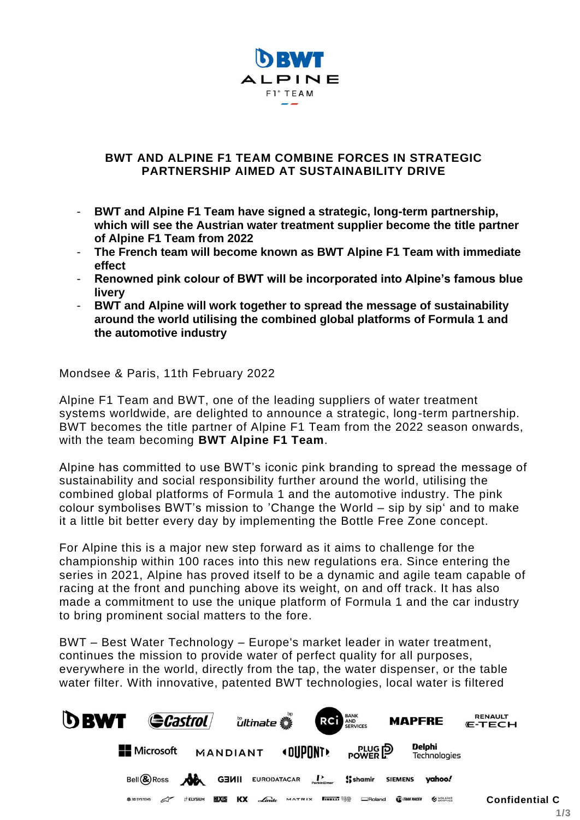

# **BWT AND ALPINE F1 TEAM COMBINE FORCES IN STRATEGIC PARTNERSHIP AIMED AT SUSTAINABILITY DRIVE**

- **BWT and Alpine F1 Team have signed a strategic, long-term partnership, which will see the Austrian water treatment supplier become the title partner of Alpine F1 Team from 2022**
- **The French team will become known as BWT Alpine F1 Team with immediate effect**
- **Renowned pink colour of BWT will be incorporated into Alpine's famous blue livery**
- **BWT and Alpine will work together to spread the message of sustainability around the world utilising the combined global platforms of Formula 1 and the automotive industry**

Mondsee & Paris, 11th February 2022

Alpine F1 Team and BWT, one of the leading suppliers of water treatment systems worldwide, are delighted to announce a strategic, long-term partnership. BWT becomes the title partner of Alpine F1 Team from the 2022 season onwards, with the team becoming **BWT Alpine F1 Team**.

Alpine has committed to use BWT's iconic pink branding to spread the message of sustainability and social responsibility further around the world, utilising the combined global platforms of Formula 1 and the automotive industry. The pink colour symbolises BWT's mission to 'Change the World – sip by sip' and to make it a little bit better every day by implementing the Bottle Free Zone concept.

For Alpine this is a major new step forward as it aims to challenge for the championship within 100 races into this new regulations era. Since entering the series in 2021, Alpine has proved itself to be a dynamic and agile team capable of racing at the front and punching above its weight, on and off track. It has also made a commitment to use the unique platform of Formula 1 and the car industry to bring prominent social matters to the fore.

BWT – Best Water Technology – Europe's market leader in water treatment, continues the mission to provide water of perfect quality for all purposes, everywhere in the world, directly from the tap, the water dispenser, or the table water filter. With innovative, patented BWT technologies, local water is filtered

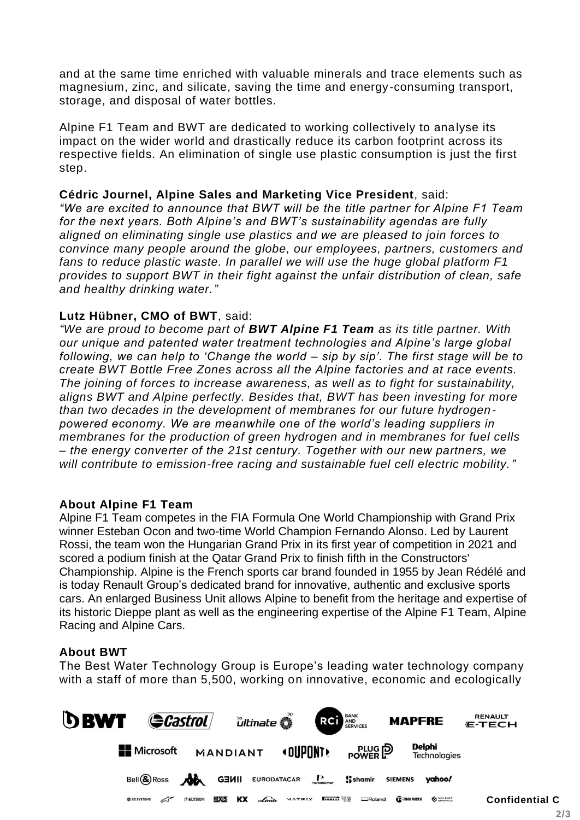and at the same time enriched with valuable minerals and trace elements such as magnesium, zinc, and silicate, saving the time and energy-consuming transport, storage, and disposal of water bottles.

Alpine F1 Team and BWT are dedicated to working collectively to analyse its impact on the wider world and drastically reduce its carbon footprint across its respective fields. An elimination of single use plastic consumption is just the first step.

# **Cédric Journel, Alpine Sales and Marketing Vice President**, said:

*"We are excited to announce that BWT will be the title partner for Alpine F1 Team for the next years. Both Alpine's and BWT's sustainability agendas are fully aligned on eliminating single use plastics and we are pleased to join forces to convince many people around the globe, our employees, partners, customers and fans to reduce plastic waste. In parallel we will use the huge global platform F1 provides to support BWT in their fight against the unfair distribution of clean, safe and healthy drinking water."* 

# **Lutz Hübner, CMO of BWT**, said:

*"We are proud to become part of BWT Alpine F1 Team as its title partner. With our unique and patented water treatment technologies and Alpine's large global following, we can help to 'Change the world – sip by sip'. The first stage will be to create BWT Bottle Free Zones across all the Alpine factories and at race events. The joining of forces to increase awareness, as well as to fight for sustainability, aligns BWT and Alpine perfectly. Besides that, BWT has been investing for more than two decades in the development of membranes for our future hydrogenpowered economy. We are meanwhile one of the world's leading suppliers in membranes for the production of green hydrogen and in membranes for fuel cells – the energy converter of the 21st century. Together with our new partners, we will contribute to emission-free racing and sustainable fuel cell electric mobility."*

# **About Alpine F1 Team**

Alpine F1 Team competes in the FIA Formula One World Championship with Grand Prix winner Esteban Ocon and two-time World Champion Fernando Alonso. Led by Laurent Rossi, the team won the Hungarian Grand Prix in its first year of competition in 2021 and scored a podium finish at the Qatar Grand Prix to finish fifth in the Constructors' Championship. Alpine is the French sports car brand founded in 1955 by Jean Rédélé and is today Renault Group's dedicated brand for innovative, authentic and exclusive sports cars. An enlarged Business Unit allows Alpine to benefit from the heritage and expertise of its historic Dieppe plant as well as the engineering expertise of the Alpine F1 Team, Alpine Racing and Alpine Cars.

# **About BWT**

The Best Water Technology Group is Europe's leading water technology company with a staff of more than 5,500, working on innovative, economic and ecologically